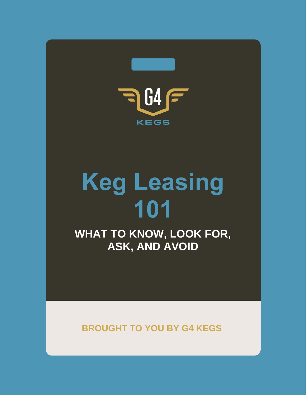

# **Keg Leasing 101**

**WHAT TO KNOW, LOOK FOR, ASK, AND AVOID**

**BROUGHT TO YOU BY G4 KEGS**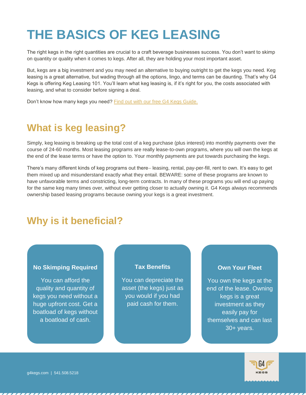## **THE BASICS OF KEG LEASING**

The right kegs in the right quantities are crucial to a craft beverage businesses success. You don't want to skimp on quantity or quality when it comes to kegs. After all, they are holding your most important asset.

But, kegs are a big investment and you may need an alternative to buying outright to get the kegs you need. Keg leasing is a great alternative, but wading through all the options, lingo, and terms can be daunting. That's why G4 Kegs is offering Keg Leasing 101. You'll learn what keg leasing is, if it's right for you, the costs associated with leasing, and what to consider before signing a deal.

Don't know how many kegs you need? [Find out with our free G4 Kegs Guide.](https://g4kegs.com/how-many-kegs-do-i-need/)

## **What is keg leasing?**

Simply, keg leasing is breaking up the total cost of a keg purchase (plus interest) into monthly payments over the course of 24-60 months. Most leasing programs are really lease-to-own programs, where you will own the kegs at the end of the lease terms or have the option to. Your monthly payments are put towards purchasing the kegs.

There's many different kinds of keg programs out there− leasing, rental, pay-per-fill, rent to own. It's easy to get them mixed up and misunderstand exactly what they entail. BEWARE: some of these programs are known to have unfavorable terms and constricting, long-term contracts. In many of these programs you will end up paying for the same keg many times over, without ever getting closer to actually owning it. G4 Kegs always recommends ownership based leasing programs because owning your kegs is a great investment.

## **Why is it beneficial?**

#### **No Skimping Required**

You can afford the quality and quantity of kegs you need without a huge upfront cost. Get a boatload of kegs without a boatload of cash.

#### **Tax Benefits**

You can depreciate the asset (the kegs) just as you would if you had paid cash for them.

#### **Own Your Fleet**

You own the kegs at the end of the lease. Owning kegs is a great investment as they easily pay for themselves and can last 30+ years.



g4kegs.com | 541.508.5218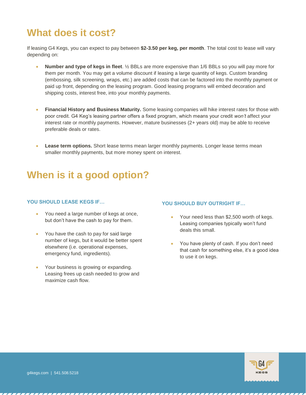## **What does it cost?**

If leasing G4 Kegs, you can expect to pay between **\$2-3.50 per keg, per month**. The total cost to lease will vary depending on:

- **Number and type of kegs in fleet**. ½ BBLs are more expensive than 1/6 BBLs so you will pay more for them per month. You may get a volume discount if leasing a large quantity of kegs. Custom branding (embossing, silk screening, wraps, etc.) are added costs that can be factored into the monthly payment or paid up front, depending on the leasing program. Good leasing programs will embed decoration and shipping costs, interest free, into your monthly payments.
- **Financial History and Business Maturity.** Some leasing companies will hike interest rates for those with poor credit. G4 Keg's leasing partner offers a fixed program, which means your credit *won't* affect your interest rate or monthly payments. However, mature businesses (2+ years old) may be able to receive preferable deals or rates.
- **Lease term options.** Short lease terms mean larger monthly payments. Longer lease terms mean smaller monthly payments, but more money spent on interest.

### **When is it a good option?**

#### **YOU SHOULD LEASE KEGS IF…**

- You need a large number of kegs at once, but don't have the cash to pay for them.
- You have the cash to pay for said large number of kegs, but it would be better spent elsewhere (i.e. operational expenses, emergency fund, ingredients).
- Your business is growing or expanding. Leasing frees up cash needed to grow and maximize cash flow.

#### **YOU SHOULD BUY OUTRIGHT IF…**

- Your need less than \$2,500 worth of kegs. Leasing companies typically won't fund deals this small.
- You have plenty of cash. If you don't need that cash for something else, it's a good idea to use it on kegs.



g4kegs.com | 541.508.5218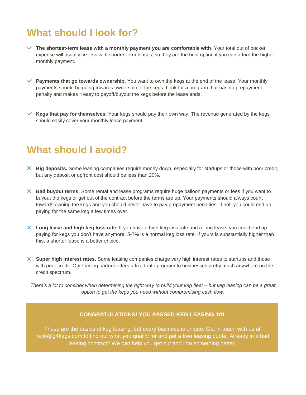## **What should I look for?**

- **The shortest-term lease with a monthly payment you are comfortable with**. Your total out of pocket expense will usually be less with shorter-term leases, so they are the best option if you can afford the higher monthly payment.
- $\vee$  **Payments that go towards ownership.** You want to own the kegs at the end of the lease. Your monthly payments should be going towards ownership of the kegs. Look for a program that has no prepayment penalty and makes it easy to payoff/buyout the kegs before the lease ends.

 $\checkmark$  Kegs that pay for themselves. Your kegs should pay their own way. The revenue generated by the kegs should easily cover your monthly lease payment.

#### **What should I avoid?**

- **Big deposits.** Some leasing companies require money down, especially for startups or those with poor credit, but any deposit or upfront cost should be less than 20%.
- **Bad buyout terms.** Some rental and lease programs require huge balloon payments or fees if you want to buyout the kegs or get out of the contract before the terms are up. Your payments should always count towards owning the kegs and you should never have to pay prepayment penalties. If not, you could end up paying for the same keg a few times over.
- **Long lease and high keg loss rate.** If you have a high keg loss rate and a long lease, you could end up paying for kegs you don't have anymore. 5-7% is a normal keg loss rate. If yours is substantially higher than this, a shorter lease is a better choice.
- **Super high interest rates.** Some leasing companies charge very high interest rates to startups and those with poor credit. Our leasing partner offers a fixed rate program to businesses pretty much anywhere on the credit spectrum.

*There's a lot to consider when determining the right way to build your keg fleet – but keg leasing can be a great option to get the kegs you need without compromising cash flow.*

#### **CONGRATULATIONS! YOU PASSED KEG LEASING 101**

These are the basics of keg leasing, but every business is unique. Get in touch with us at [hello@g4kegs.com](mailto:hello@g4kegs.com) to find out what you qualify for and get a free leasing quote. Already in a bad leasing contract? We can help you get out and into something better.